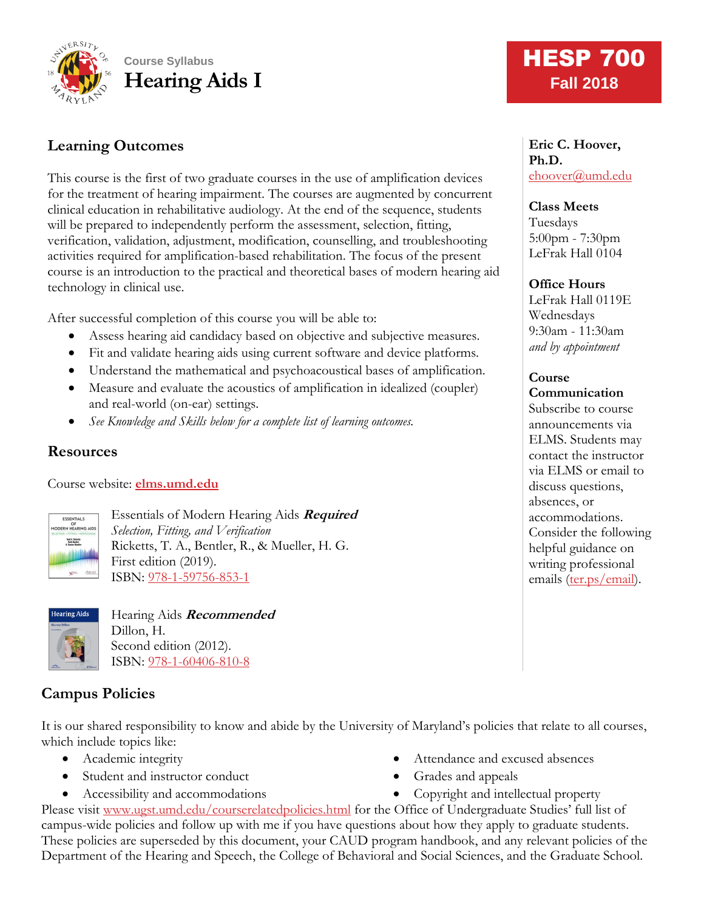

# **Learning Outcomes**

This course is the first of two graduate courses in the use of amplification devices for the treatment of hearing impairment. The courses are augmented by concurrent clinical education in rehabilitative audiology. At the end of the sequence, students will be prepared to independently perform the assessment, selection, fitting, verification, validation, adjustment, modification, counselling, and troubleshooting activities required for amplification-based rehabilitation. The focus of the present course is an introduction to the practical and theoretical bases of modern hearing aid technology in clinical use.

After successful completion of this course you will be able to:

- Assess hearing aid candidacy based on objective and subjective measures.
- Fit and validate hearing aids using current software and device platforms.
- Understand the mathematical and psychoacoustical bases of amplification.
- Measure and evaluate the acoustics of amplification in idealized (coupler) and real-world (on-ear) settings.
- *See Knowledge and Skills below for a complete list of learning outcomes.*

#### **Resources**

Course website: **[elms.umd.edu](http://www.elms.umd.edu/)**



Essentials of Modern Hearing Aids **Required** *Selection, Fitting, and Verification* Ricketts, T. A., Bentler, R., & Mueller, H. G. First edition (2019). ISBN: [978-1-59756-853-1](https://www.pluralpublishing.com/publication_emha.htm)



Hearing Aids **Recommended** Dillon, H. Second edition (2012). ISBN: [978-1-60406-810-8](https://www.thieme.com/books-main/audiology/product/1888-hearing-aids)

# **Campus Policies**

It is our shared responsibility to know and abide by the University of Maryland's policies that relate to all courses, which include topics like:

- Academic integrity
- Student and instructor conduct
- Accessibility and accommodations
- Attendance and excused absences
- Grades and appeals
- Copyright and intellectual property

Please visit [www.ugst.umd.edu/courserelatedpolicies.html](http://www.ugst.umd.edu/courserelatedpolicies.html) for the Office of Undergraduate Studies' full list of campus-wide policies and follow up with me if you have questions about how they apply to graduate students. These policies are superseded by this document, your CAUD program handbook, and any relevant policies of the Department of the Hearing and Speech, the College of Behavioral and Social Sciences, and the Graduate School.

# **HESP 700 Fall 2018**

**Eric C. Hoover, Ph.D.** [ehoover@umd.edu](mailto:ehoover@umd.edu)

**Class Meets** Tuesdays 5:00pm - 7:30pm LeFrak Hall 0104

#### **Office Hours**

LeFrak Hall 0119E Wednesdays 9:30am - 11:30am *and by appointment*

# **Course**

**Communication** Subscribe to course announcements via ELMS. Students may contact the instructor via ELMS or email to discuss questions, absences, or accommodations. Consider the following helpful guidance on writing professional emails [\(ter.ps/email\)](http://ter.ps/email).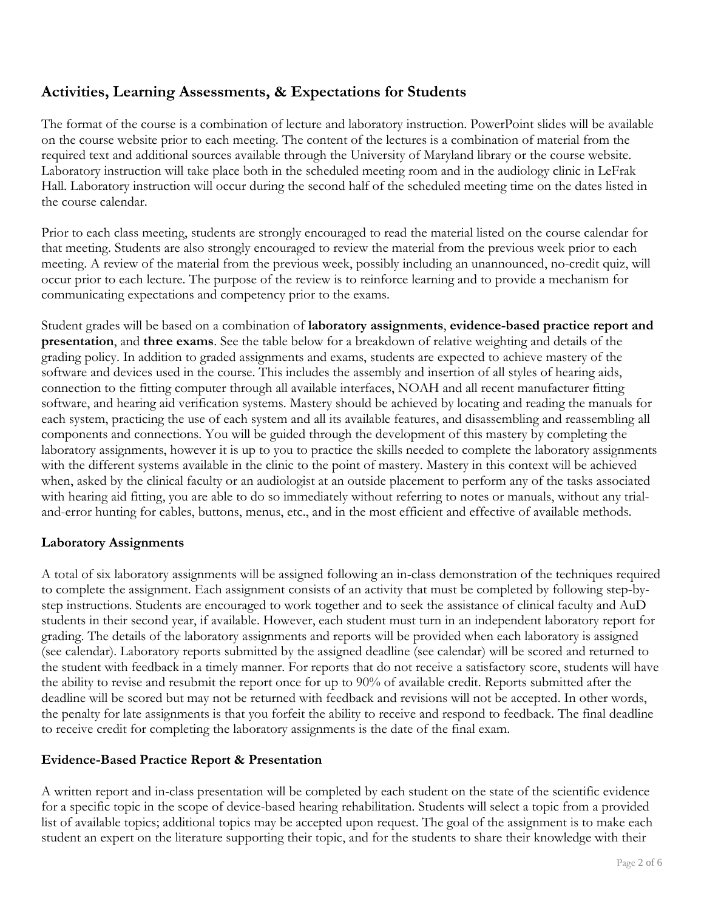# **Activities, Learning Assessments, & Expectations for Students**

The format of the course is a combination of lecture and laboratory instruction. PowerPoint slides will be available on the course website prior to each meeting. The content of the lectures is a combination of material from the required text and additional sources available through the University of Maryland library or the course website. Laboratory instruction will take place both in the scheduled meeting room and in the audiology clinic in LeFrak Hall. Laboratory instruction will occur during the second half of the scheduled meeting time on the dates listed in the course calendar.

Prior to each class meeting, students are strongly encouraged to read the material listed on the course calendar for that meeting. Students are also strongly encouraged to review the material from the previous week prior to each meeting. A review of the material from the previous week, possibly including an unannounced, no-credit quiz, will occur prior to each lecture. The purpose of the review is to reinforce learning and to provide a mechanism for communicating expectations and competency prior to the exams.

Student grades will be based on a combination of **laboratory assignments**, **evidence-based practice report and presentation**, and **three exams**. See the table below for a breakdown of relative weighting and details of the grading policy. In addition to graded assignments and exams, students are expected to achieve mastery of the software and devices used in the course. This includes the assembly and insertion of all styles of hearing aids, connection to the fitting computer through all available interfaces, NOAH and all recent manufacturer fitting software, and hearing aid verification systems. Mastery should be achieved by locating and reading the manuals for each system, practicing the use of each system and all its available features, and disassembling and reassembling all components and connections. You will be guided through the development of this mastery by completing the laboratory assignments, however it is up to you to practice the skills needed to complete the laboratory assignments with the different systems available in the clinic to the point of mastery. Mastery in this context will be achieved when, asked by the clinical faculty or an audiologist at an outside placement to perform any of the tasks associated with hearing aid fitting, you are able to do so immediately without referring to notes or manuals, without any trialand-error hunting for cables, buttons, menus, etc., and in the most efficient and effective of available methods.

#### **Laboratory Assignments**

A total of six laboratory assignments will be assigned following an in-class demonstration of the techniques required to complete the assignment. Each assignment consists of an activity that must be completed by following step-bystep instructions. Students are encouraged to work together and to seek the assistance of clinical faculty and AuD students in their second year, if available. However, each student must turn in an independent laboratory report for grading. The details of the laboratory assignments and reports will be provided when each laboratory is assigned (see calendar). Laboratory reports submitted by the assigned deadline (see calendar) will be scored and returned to the student with feedback in a timely manner. For reports that do not receive a satisfactory score, students will have the ability to revise and resubmit the report once for up to 90% of available credit. Reports submitted after the deadline will be scored but may not be returned with feedback and revisions will not be accepted. In other words, the penalty for late assignments is that you forfeit the ability to receive and respond to feedback. The final deadline to receive credit for completing the laboratory assignments is the date of the final exam.

#### **Evidence-Based Practice Report & Presentation**

A written report and in-class presentation will be completed by each student on the state of the scientific evidence for a specific topic in the scope of device-based hearing rehabilitation. Students will select a topic from a provided list of available topics; additional topics may be accepted upon request. The goal of the assignment is to make each student an expert on the literature supporting their topic, and for the students to share their knowledge with their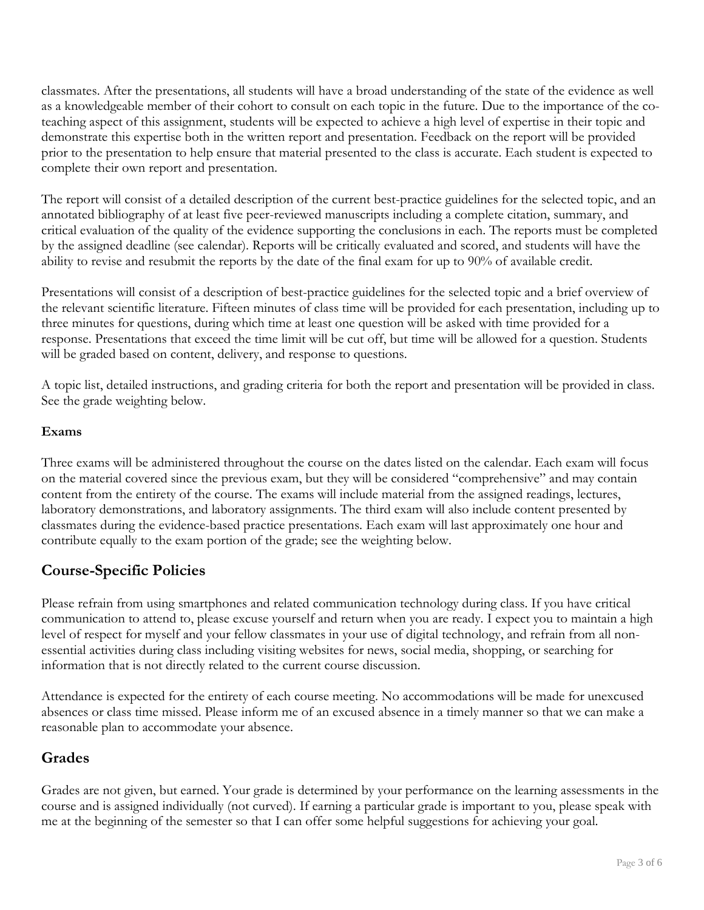classmates. After the presentations, all students will have a broad understanding of the state of the evidence as well as a knowledgeable member of their cohort to consult on each topic in the future. Due to the importance of the coteaching aspect of this assignment, students will be expected to achieve a high level of expertise in their topic and demonstrate this expertise both in the written report and presentation. Feedback on the report will be provided prior to the presentation to help ensure that material presented to the class is accurate. Each student is expected to complete their own report and presentation.

The report will consist of a detailed description of the current best-practice guidelines for the selected topic, and an annotated bibliography of at least five peer-reviewed manuscripts including a complete citation, summary, and critical evaluation of the quality of the evidence supporting the conclusions in each. The reports must be completed by the assigned deadline (see calendar). Reports will be critically evaluated and scored, and students will have the ability to revise and resubmit the reports by the date of the final exam for up to 90% of available credit.

Presentations will consist of a description of best-practice guidelines for the selected topic and a brief overview of the relevant scientific literature. Fifteen minutes of class time will be provided for each presentation, including up to three minutes for questions, during which time at least one question will be asked with time provided for a response. Presentations that exceed the time limit will be cut off, but time will be allowed for a question. Students will be graded based on content, delivery, and response to questions.

A topic list, detailed instructions, and grading criteria for both the report and presentation will be provided in class. See the grade weighting below.

#### **Exams**

Three exams will be administered throughout the course on the dates listed on the calendar. Each exam will focus on the material covered since the previous exam, but they will be considered "comprehensive" and may contain content from the entirety of the course. The exams will include material from the assigned readings, lectures, laboratory demonstrations, and laboratory assignments. The third exam will also include content presented by classmates during the evidence-based practice presentations. Each exam will last approximately one hour and contribute equally to the exam portion of the grade; see the weighting below.

## **Course-Specific Policies**

Please refrain from using smartphones and related communication technology during class. If you have critical communication to attend to, please excuse yourself and return when you are ready. I expect you to maintain a high level of respect for myself and your fellow classmates in your use of digital technology, and refrain from all nonessential activities during class including visiting websites for news, social media, shopping, or searching for information that is not directly related to the current course discussion.

Attendance is expected for the entirety of each course meeting. No accommodations will be made for unexcused absences or class time missed. Please inform me of an excused absence in a timely manner so that we can make a reasonable plan to accommodate your absence.

### **Grades**

Grades are not given, but earned. Your grade is determined by your performance on the learning assessments in the course and is assigned individually (not curved). If earning a particular grade is important to you, please speak with me at the beginning of the semester so that I can offer some helpful suggestions for achieving your goal.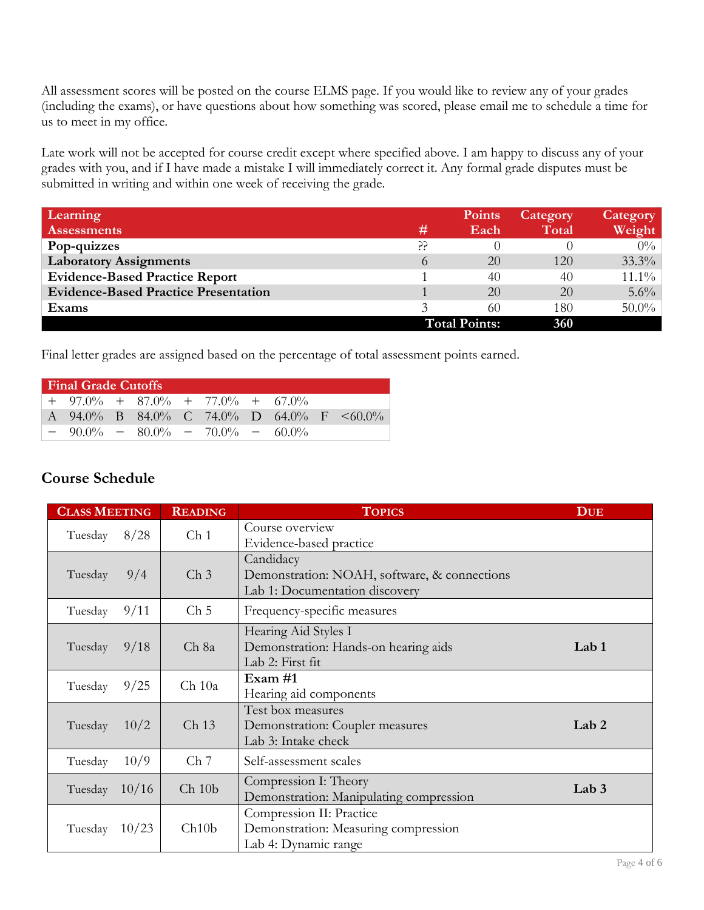All assessment scores will be posted on the course ELMS page. If you would like to review any of your grades (including the exams), or have questions about how something was scored, please email me to schedule a time for us to meet in my office.

Late work will not be accepted for course credit except where specified above. I am happy to discuss any of your grades with you, and if I have made a mistake I will immediately correct it. Any formal grade disputes must be submitted in writing and within one week of receiving the grade.

| Learning                                    |         | <b>Points</b>        | Category | Category |
|---------------------------------------------|---------|----------------------|----------|----------|
| <b>Assessments</b>                          | #       | Each                 | Total    | Weight   |
| Pop-quizzes                                 | ڊڊ<br>ڊ |                      |          | $0\%$    |
| <b>Laboratory Assignments</b>               | 6       | 20                   | 120      | $33.3\%$ |
| <b>Evidence-Based Practice Report</b>       |         | 40                   | 40       | $11.1\%$ |
| <b>Evidence-Based Practice Presentation</b> |         | 20                   | 20       | $5.6\%$  |
| Exams                                       |         | 60                   | 180      | $50.0\%$ |
|                                             |         | <b>Total Points:</b> |          |          |

Final letter grades are assigned based on the percentage of total assessment points earned.

| <b>Final Grade Cutoffs</b> |                                         |  |  |  |  |  |  |                                          |
|----------------------------|-----------------------------------------|--|--|--|--|--|--|------------------------------------------|
|                            | $+$ 97.0% $+$ 87.0% $+$ 77.0% $+$ 67.0% |  |  |  |  |  |  |                                          |
|                            |                                         |  |  |  |  |  |  | A 94.0% B 84.0% C 74.0% D 64.0% F <60.0% |
|                            | $-90.0\% - 80.0\% - 70.0\% - 60.0\%$    |  |  |  |  |  |  |                                          |

### **Course Schedule**

| <b>CLASS MEETING</b> | <b>READING</b>                    | <b>TOPICS</b>                                                                               | <b>DUE</b>       |
|----------------------|-----------------------------------|---------------------------------------------------------------------------------------------|------------------|
| 8/28<br>Tuesday      | Ch <sub>1</sub>                   | Course overview<br>Evidence-based practice                                                  |                  |
| Tuesday<br>9/4       | $\mathop{\mathrm{Ch}}\nolimits 3$ | Candidacy<br>Demonstration: NOAH, software, & connections<br>Lab 1: Documentation discovery |                  |
| 9/11<br>Tuesday      | Ch <sub>5</sub>                   | Frequency-specific measures                                                                 |                  |
| 9/18<br>Tuesday      | Ch 8a                             | Hearing Aid Styles I<br>Demonstration: Hands-on hearing aids<br>Lab 2: First fit            | Lab <sub>1</sub> |
| 9/25<br>Tuesday      | $Ch$ 10a                          | Exam #1<br>Hearing aid components                                                           |                  |
| Tuesday<br>10/2      | Ch <sub>13</sub>                  | Test box measures<br>Demonstration: Coupler measures<br>Lab 3: Intake check                 | Lab <sub>2</sub> |
| 10/9<br>Tuesday      | Ch <sub>7</sub>                   | Self-assessment scales                                                                      |                  |
| Tuesday $10/16$      | Ch 10b                            | Compression I: Theory<br>Demonstration: Manipulating compression                            | Lab $3$          |
| Tuesday<br>10/23     | Ch10b                             | Compression II: Practice<br>Demonstration: Measuring compression<br>Lab 4: Dynamic range    |                  |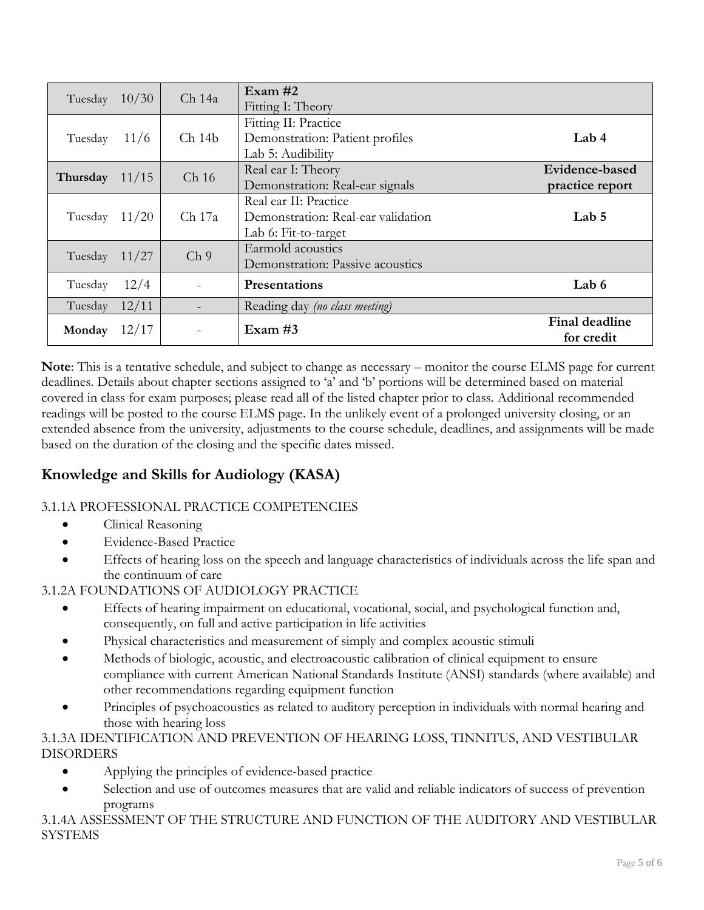| Tuesday  | 10/30 | Ch 14a           | Exam $#2$<br>Fitting I: Theory                                                      |                                   |
|----------|-------|------------------|-------------------------------------------------------------------------------------|-----------------------------------|
| Tuesday  | 11/6  | Ch14b            | Fitting II: Practice<br>Demonstration: Patient profiles<br>Lab 5: Audibility        | Lab $4$                           |
| Thursday | 11/15 | Ch <sub>16</sub> | Real ear I: Theory<br>Demonstration: Real-ear signals                               | Evidence-based<br>practice report |
| Tuesday  | 11/20 | Ch 17a           | Real ear II: Practice<br>Demonstration: Real-ear validation<br>Lab 6: Fit-to-target | Lab $5$                           |
| Tuesday  | 11/27 | Ch <sub>9</sub>  | Earmold acoustics<br>Demonstration: Passive acoustics                               |                                   |
| Tuesday  | 12/4  |                  | <b>Presentations</b>                                                                | Lab $6$                           |
| Tuesday  | 12/11 |                  | Reading day (no class meeting)                                                      |                                   |
| Monday   | 12/17 |                  | Exam $#3$                                                                           | Final deadline<br>for credit      |

**Note**: This is a tentative schedule, and subject to change as necessary – monitor the course ELMS page for current deadlines. Details about chapter sections assigned to 'a' and 'b' portions will be determined based on material covered in class for exam purposes; please read all of the listed chapter prior to class. Additional recommended readings will be posted to the course ELMS page. In the unlikely event of a prolonged university closing, or an extended absence from the university, adjustments to the course schedule, deadlines, and assignments will be made based on the duration of the closing and the specific dates missed.

# **Knowledge and Skills for Audiology (KASA)**

## 3.1.1A PROFESSIONAL PRACTICE COMPETENCIES

- Clinical Reasoning
- Evidence-Based Practice
- Effects of hearing loss on the speech and language characteristics of individuals across the life span and the continuum of care

3.1.2A FOUNDATIONS OF AUDIOLOGY PRACTICE

- Effects of hearing impairment on educational, vocational, social, and psychological function and, consequently, on full and active participation in life activities
- Physical characteristics and measurement of simply and complex acoustic stimuli
- Methods of biologic, acoustic, and electroacoustic calibration of clinical equipment to ensure compliance with current American National Standards Institute (ANSI) standards (where available) and other recommendations regarding equipment function
- Principles of psychoacoustics as related to auditory perception in individuals with normal hearing and those with hearing loss

#### 3.1.3A IDENTIFICATION AND PREVENTION OF HEARING LOSS, TINNITUS, AND VESTIBULAR DISORDERS

- Applying the principles of evidence-based practice
- Selection and use of outcomes measures that are valid and reliable indicators of success of prevention programs

3.1.4A ASSESSMENT OF THE STRUCTURE AND FUNCTION OF THE AUDITORY AND VESTIBULAR SYSTEMS